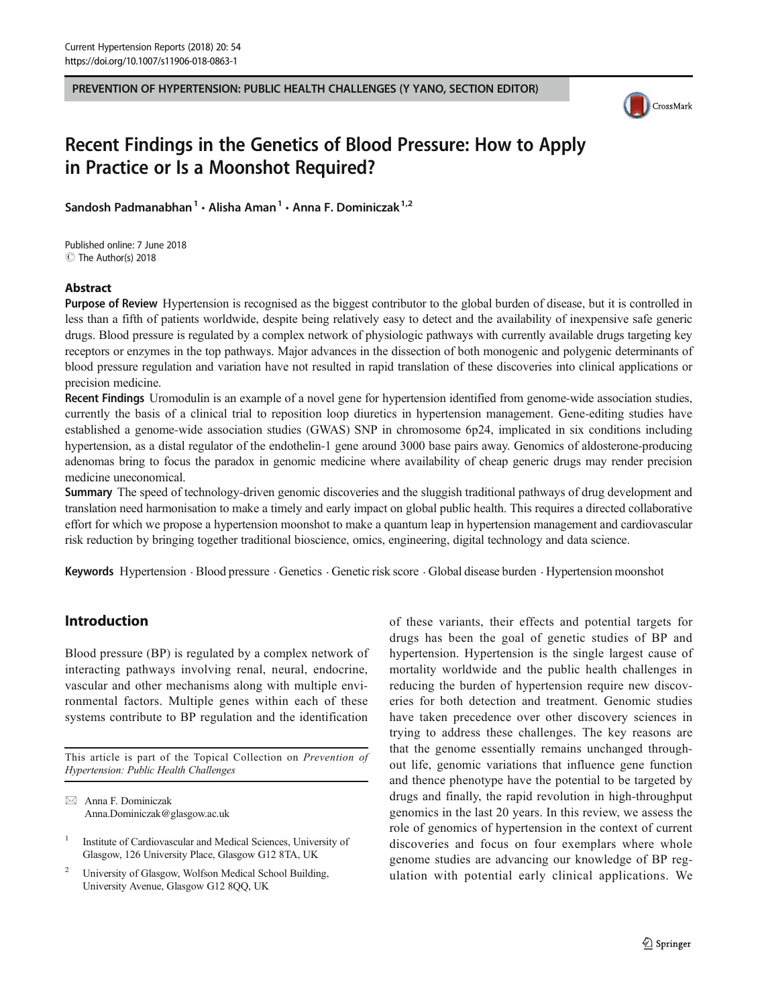PREVENTION OF HYPERTENSION: PUBLIC HEALTH CHALLENGES (Y YANO, SECTION EDITOR)



# Recent Findings in the Genetics of Blood Pressure: How to Apply in Practice or Is a Moonshot Required?

Sandosh Padmanabhan<sup>1</sup> · Alisha Aman<sup>1</sup> · Anna F. Dominiczak<sup>1,2</sup>

Published online: 7 June 2018 C The Author(s) 2018

#### Abstract

Purpose of Review Hypertension is recognised as the biggest contributor to the global burden of disease, but it is controlled in less than a fifth of patients worldwide, despite being relatively easy to detect and the availability of inexpensive safe generic drugs. Blood pressure is regulated by a complex network of physiologic pathways with currently available drugs targeting key receptors or enzymes in the top pathways. Major advances in the dissection of both monogenic and polygenic determinants of blood pressure regulation and variation have not resulted in rapid translation of these discoveries into clinical applications or precision medicine.

Recent Findings Uromodulin is an example of a novel gene for hypertension identified from genome-wide association studies, currently the basis of a clinical trial to reposition loop diuretics in hypertension management. Gene-editing studies have established a genome-wide association studies (GWAS) SNP in chromosome 6p24, implicated in six conditions including hypertension, as a distal regulator of the endothelin-1 gene around 3000 base pairs away. Genomics of aldosterone-producing adenomas bring to focus the paradox in genomic medicine where availability of cheap generic drugs may render precision medicine uneconomical.

Summary The speed of technology-driven genomic discoveries and the sluggish traditional pathways of drug development and translation need harmonisation to make a timely and early impact on global public health. This requires a directed collaborative effort for which we propose a hypertension moonshot to make a quantum leap in hypertension management and cardiovascular risk reduction by bringing together traditional bioscience, omics, engineering, digital technology and data science.

Keywords Hypertension . Blood pressure . Genetics . Genetic risk score . Global disease burden . Hypertension moonshot

# Introduction

Blood pressure (BP) is regulated by a complex network of interacting pathways involving renal, neural, endocrine, vascular and other mechanisms along with multiple environmental factors. Multiple genes within each of these systems contribute to BP regulation and the identification

This article is part of the Topical Collection on Prevention of Hypertension: Public Health Challenges

 $\boxtimes$  Anna F. Dominiczak [Anna.Dominiczak@glasgow.ac.uk](mailto:Anna.Dominiczak@glasgow.ac.uk)

- <sup>1</sup> Institute of Cardiovascular and Medical Sciences, University of Glasgow, 126 University Place, Glasgow G12 8TA, UK
- <sup>2</sup> University of Glasgow, Wolfson Medical School Building, University Avenue, Glasgow G12 8QQ, UK

of these variants, their effects and potential targets for drugs has been the goal of genetic studies of BP and hypertension. Hypertension is the single largest cause of mortality worldwide and the public health challenges in reducing the burden of hypertension require new discoveries for both detection and treatment. Genomic studies have taken precedence over other discovery sciences in trying to address these challenges. The key reasons are that the genome essentially remains unchanged throughout life, genomic variations that influence gene function and thence phenotype have the potential to be targeted by drugs and finally, the rapid revolution in high-throughput genomics in the last 20 years. In this review, we assess the role of genomics of hypertension in the context of current discoveries and focus on four exemplars where whole genome studies are advancing our knowledge of BP regulation with potential early clinical applications. We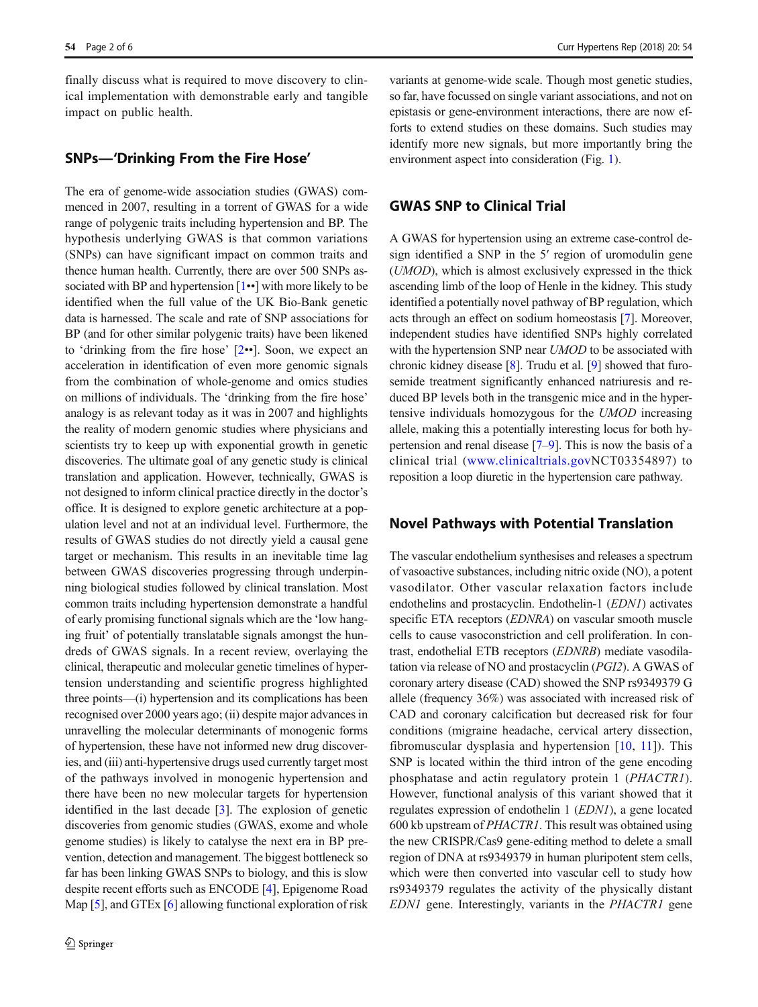finally discuss what is required to move discovery to clinical implementation with demonstrable early and tangible impact on public health.

#### SNPs—'Drinking From the Fire Hose'

The era of genome-wide association studies (GWAS) commenced in 2007, resulting in a torrent of GWAS for a wide range of polygenic traits including hypertension and BP. The hypothesis underlying GWAS is that common variations (SNPs) can have significant impact on common traits and thence human health. Currently, there are over 500 SNPs associated with BP and hypertension  $[1\bullet]$  $[1\bullet]$  $[1\bullet]$  with more likely to be identified when the full value of the UK Bio-Bank genetic data is harnessed. The scale and rate of SNP associations for BP (and for other similar polygenic traits) have been likened to 'drinking from the fire hose' [\[2](#page-4-0)••]. Soon, we expect an acceleration in identification of even more genomic signals from the combination of whole-genome and omics studies on millions of individuals. The 'drinking from the fire hose' analogy is as relevant today as it was in 2007 and highlights the reality of modern genomic studies where physicians and scientists try to keep up with exponential growth in genetic discoveries. The ultimate goal of any genetic study is clinical translation and application. However, technically, GWAS is not designed to inform clinical practice directly in the doctor's office. It is designed to explore genetic architecture at a population level and not at an individual level. Furthermore, the results of GWAS studies do not directly yield a causal gene target or mechanism. This results in an inevitable time lag between GWAS discoveries progressing through underpinning biological studies followed by clinical translation. Most common traits including hypertension demonstrate a handful of early promising functional signals which are the 'low hanging fruit' of potentially translatable signals amongst the hundreds of GWAS signals. In a recent review, overlaying the clinical, therapeutic and molecular genetic timelines of hypertension understanding and scientific progress highlighted three points—(i) hypertension and its complications has been recognised over 2000 years ago; (ii) despite major advances in unravelling the molecular determinants of monogenic forms of hypertension, these have not informed new drug discoveries, and (iii) anti-hypertensive drugs used currently target most of the pathways involved in monogenic hypertension and there have been no new molecular targets for hypertension identified in the last decade [\[3](#page-4-0)]. The explosion of genetic discoveries from genomic studies (GWAS, exome and whole genome studies) is likely to catalyse the next era in BP prevention, detection and management. The biggest bottleneck so far has been linking GWAS SNPs to biology, and this is slow despite recent efforts such as ENCODE [\[4](#page-4-0)], Epigenome Road Map [\[5\]](#page-4-0), and GTEx [[6\]](#page-4-0) allowing functional exploration of risk

variants at genome-wide scale. Though most genetic studies, so far, have focussed on single variant associations, and not on epistasis or gene-environment interactions, there are now efforts to extend studies on these domains. Such studies may identify more new signals, but more importantly bring the environment aspect into consideration (Fig. [1\)](#page-2-0).

### GWAS SNP to Clinical Trial

A GWAS for hypertension using an extreme case-control design identified a SNP in the 5′ region of uromodulin gene (UMOD), which is almost exclusively expressed in the thick ascending limb of the loop of Henle in the kidney. This study identified a potentially novel pathway of BP regulation, which acts through an effect on sodium homeostasis [[7](#page-4-0)]. Moreover, independent studies have identified SNPs highly correlated with the hypertension SNP near UMOD to be associated with chronic kidney disease [[8\]](#page-4-0). Trudu et al. [[9\]](#page-4-0) showed that furosemide treatment significantly enhanced natriuresis and reduced BP levels both in the transgenic mice and in the hypertensive individuals homozygous for the UMOD increasing allele, making this a potentially interesting locus for both hypertension and renal disease [\[7](#page-4-0)–[9\]](#page-4-0). This is now the basis of a clinical trial ([www.clinicaltrials.govN](http://www.clinicaltrials.gov)CT03354897) to reposition a loop diuretic in the hypertension care pathway.

#### Novel Pathways with Potential Translation

The vascular endothelium synthesises and releases a spectrum of vasoactive substances, including nitric oxide (NO), a potent vasodilator. Other vascular relaxation factors include endothelins and prostacyclin. Endothelin-1 (EDN1) activates specific ETA receptors (*EDNRA*) on vascular smooth muscle cells to cause vasoconstriction and cell proliferation. In contrast, endothelial ETB receptors (EDNRB) mediate vasodilatation via release of NO and prostacyclin (PGI2). A GWAS of coronary artery disease (CAD) showed the SNP rs9349379 G allele (frequency 36%) was associated with increased risk of CAD and coronary calcification but decreased risk for four conditions (migraine headache, cervical artery dissection, fibromuscular dysplasia and hypertension [[10,](#page-4-0) [11](#page-4-0)]). This SNP is located within the third intron of the gene encoding phosphatase and actin regulatory protein 1 (PHACTR1). However, functional analysis of this variant showed that it regulates expression of endothelin 1 (EDN1), a gene located 600 kb upstream of PHACTR1. This result was obtained using the new CRISPR/Cas9 gene-editing method to delete a small region of DNA at rs9349379 in human pluripotent stem cells, which were then converted into vascular cell to study how rs9349379 regulates the activity of the physically distant EDN1 gene. Interestingly, variants in the PHACTR1 gene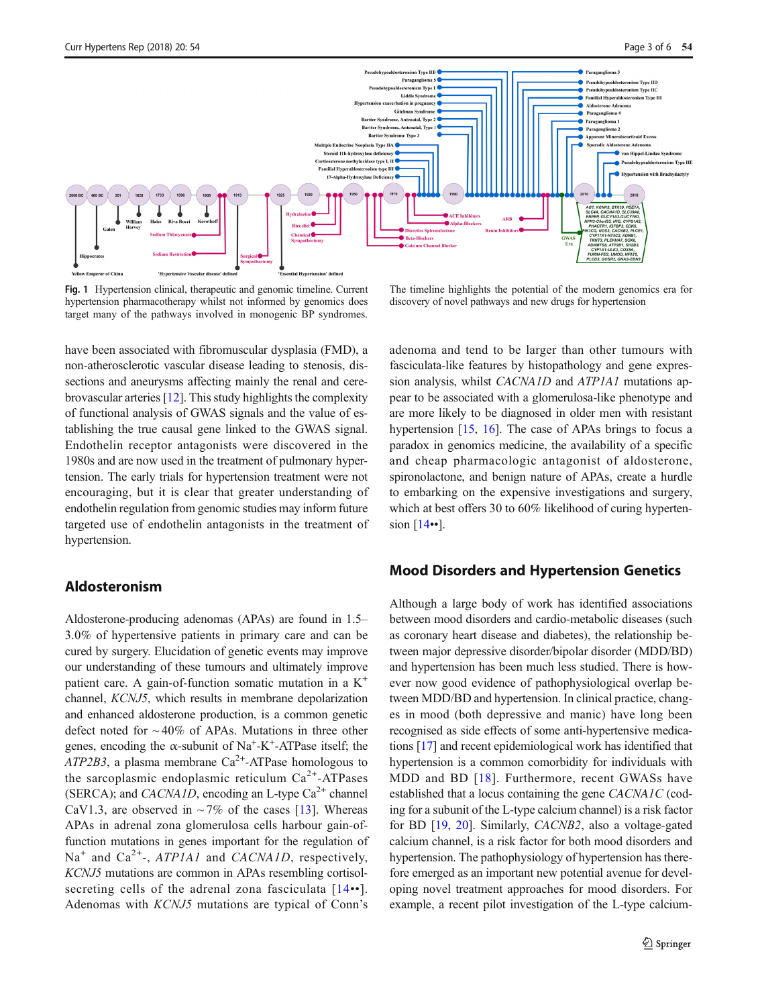<span id="page-2-0"></span>

Fig. 1 Hypertension clinical, therapeutic and genomic timeline. Current hypertension pharmacotherapy whilst not informed by genomics does target many of the pathways involved in monogenic BP syndromes.

The timeline highlights the potential of the modern genomics era for discovery of novel pathways and new drugs for hypertension

have been associated with fibromuscular dysplasia (FMD), a non-atherosclerotic vascular disease leading to stenosis, dissections and aneurysms affecting mainly the renal and cerebrovascular arteries [\[12](#page-4-0)]. This study highlights the complexity of functional analysis of GWAS signals and the value of establishing the true causal gene linked to the GWAS signal. Endothelin receptor antagonists were discovered in the 1980s and are now used in the treatment of pulmonary hypertension. The early trials for hypertension treatment were not encouraging, but it is clear that greater understanding of endothelin regulation from genomic studies may inform future targeted use of endothelin antagonists in the treatment of hypertension.

## Aldosteronism

Aldosterone-producing adenomas (APAs) are found in 1.5– 3.0% of hypertensive patients in primary care and can be cured by surgery. Elucidation of genetic events may improve our understanding of these tumours and ultimately improve patient care. A gain-of-function somatic mutation in a K<sup>+</sup> channel, KCNJ5, which results in membrane depolarization and enhanced aldosterone production, is a common genetic defect noted for  $\sim$  40% of APAs. Mutations in three other genes, encoding the  $\alpha$ -subunit of Na<sup>+</sup>-K<sup>+</sup>-ATPase itself; the ATP2B3, a plasma membrane  $Ca^{2+}$ -ATPase homologous to the sarcoplasmic endoplasmic reticulum  $Ca^{2+}$ -ATPases (SERCA); and *CACNA1D*, encoding an L-type  $Ca^{2+}$  channel CaV1.3, are observed in  $\sim$  7% of the cases [\[13](#page-4-0)]. Whereas APAs in adrenal zona glomerulosa cells harbour gain-offunction mutations in genes important for the regulation of  $Na<sup>+</sup>$  and Ca<sup>2+</sup>-, ATP1A1 and CACNA1D, respectively, KCNJ5 mutations are common in APAs resembling cortisol-secreting cells of the adrenal zona fasciculata [\[14](#page-4-0)••]. Adenomas with KCNJ5 mutations are typical of Conn'<sup>s</sup>

adenoma and tend to be larger than other tumours with fasciculata-like features by histopathology and gene expression analysis, whilst CACNA1D and ATP1A1 mutations appear to be associated with a glomerulosa-like phenotype and are more likely to be diagnosed in older men with resistant hypertension [\[15](#page-5-0), [16](#page-5-0)]. The case of APAs brings to focus a paradox in genomics medicine, the availability of a specific and cheap pharmacologic antagonist of aldosterone, spironolactone, and benign nature of APAs, create a hurdle to embarking on the expensive investigations and surgery, which at best offers 30 to 60% likelihood of curing hypertension  $[14\cdot \cdot]$  $[14\cdot \cdot]$ .

## Mood Disorders and Hypertension Genetics

Although a large body of work has identified associations between mood disorders and cardio-metabolic diseases (such as coronary heart disease and diabetes), the relationship between major depressive disorder/bipolar disorder (MDD/BD) and hypertension has been much less studied. There is however now good evidence of pathophysiological overlap between MDD/BD and hypertension. In clinical practice, changes in mood (both depressive and manic) have long been recognised as side effects of some anti-hypertensive medications [\[17](#page-5-0)] and recent epidemiological work has identified that hypertension is a common comorbidity for individuals with MDD and BD [[18\]](#page-5-0). Furthermore, recent GWASs have established that a locus containing the gene CACNA1C (coding for a subunit of the L-type calcium channel) is a risk factor for BD [\[19](#page-5-0), [20](#page-5-0)]. Similarly, CACNB2, also a voltage-gated calcium channel, is a risk factor for both mood disorders and hypertension. The pathophysiology of hypertension has therefore emerged as an important new potential avenue for developing novel treatment approaches for mood disorders. For example, a recent pilot investigation of the L-type calcium-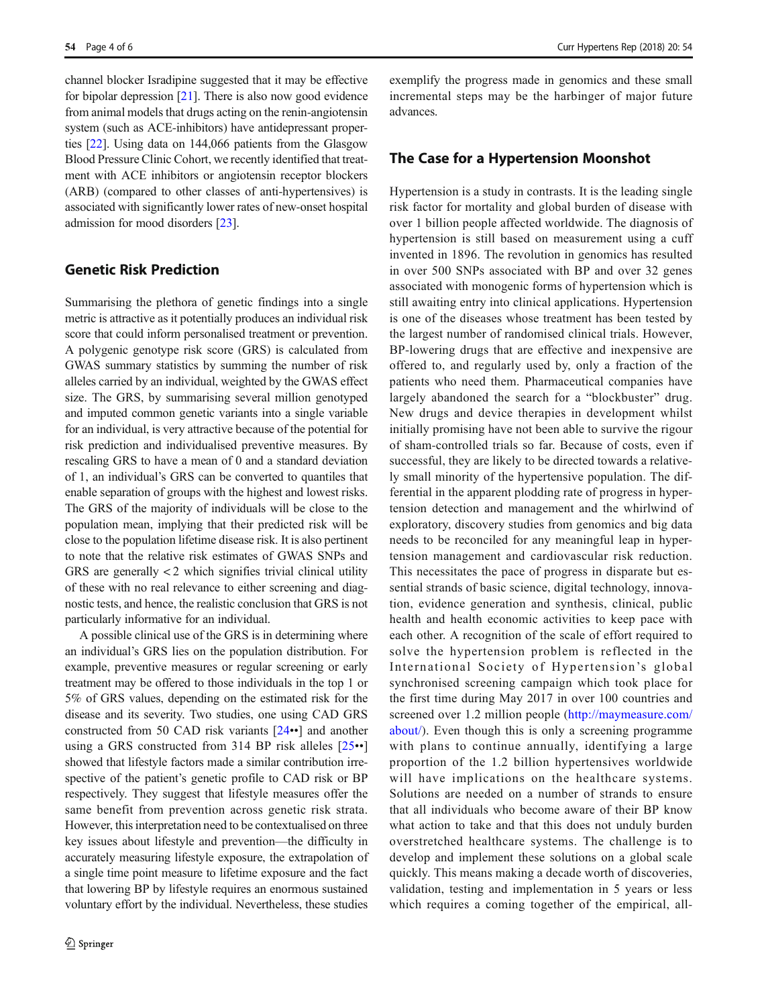channel blocker Isradipine suggested that it may be effective for bipolar depression [\[21\]](#page-5-0). There is also now good evidence from animal models that drugs acting on the renin-angiotensin system (such as ACE-inhibitors) have antidepressant properties [[22\]](#page-5-0). Using data on 144,066 patients from the Glasgow Blood Pressure Clinic Cohort, we recently identified that treatment with ACE inhibitors or angiotensin receptor blockers (ARB) (compared to other classes of anti-hypertensives) is associated with significantly lower rates of new-onset hospital admission for mood disorders [[23\]](#page-5-0).

# Genetic Risk Prediction

Summarising the plethora of genetic findings into a single metric is attractive as it potentially produces an individual risk score that could inform personalised treatment or prevention. A polygenic genotype risk score (GRS) is calculated from GWAS summary statistics by summing the number of risk alleles carried by an individual, weighted by the GWAS effect size. The GRS, by summarising several million genotyped and imputed common genetic variants into a single variable for an individual, is very attractive because of the potential for risk prediction and individualised preventive measures. By rescaling GRS to have a mean of 0 and a standard deviation of 1, an individual's GRS can be converted to quantiles that enable separation of groups with the highest and lowest risks. The GRS of the majority of individuals will be close to the population mean, implying that their predicted risk will be close to the population lifetime disease risk. It is also pertinent to note that the relative risk estimates of GWAS SNPs and GRS are generally < 2 which signifies trivial clinical utility of these with no real relevance to either screening and diagnostic tests, and hence, the realistic conclusion that GRS is not particularly informative for an individual.

A possible clinical use of the GRS is in determining where an individual's GRS lies on the population distribution. For example, preventive measures or regular screening or early treatment may be offered to those individuals in the top 1 or 5% of GRS values, depending on the estimated risk for the disease and its severity. Two studies, one using CAD GRS constructed from 50 CAD risk variants [[24](#page-5-0)••] and another using a GRS constructed from 314 BP risk alleles [[25](#page-5-0)••] showed that lifestyle factors made a similar contribution irrespective of the patient's genetic profile to CAD risk or BP respectively. They suggest that lifestyle measures offer the same benefit from prevention across genetic risk strata. However, this interpretation need to be contextualised on three key issues about lifestyle and prevention—the difficulty in accurately measuring lifestyle exposure, the extrapolation of a single time point measure to lifetime exposure and the fact that lowering BP by lifestyle requires an enormous sustained voluntary effort by the individual. Nevertheless, these studies

exemplify the progress made in genomics and these small incremental steps may be the harbinger of major future advances.

#### The Case for a Hypertension Moonshot

Hypertension is a study in contrasts. It is the leading single risk factor for mortality and global burden of disease with over 1 billion people affected worldwide. The diagnosis of hypertension is still based on measurement using a cuff invented in 1896. The revolution in genomics has resulted in over 500 SNPs associated with BP and over 32 genes associated with monogenic forms of hypertension which is still awaiting entry into clinical applications. Hypertension is one of the diseases whose treatment has been tested by the largest number of randomised clinical trials. However, BP-lowering drugs that are effective and inexpensive are offered to, and regularly used by, only a fraction of the patients who need them. Pharmaceutical companies have largely abandoned the search for a "blockbuster" drug. New drugs and device therapies in development whilst initially promising have not been able to survive the rigour of sham-controlled trials so far. Because of costs, even if successful, they are likely to be directed towards a relatively small minority of the hypertensive population. The differential in the apparent plodding rate of progress in hypertension detection and management and the whirlwind of exploratory, discovery studies from genomics and big data needs to be reconciled for any meaningful leap in hypertension management and cardiovascular risk reduction. This necessitates the pace of progress in disparate but essential strands of basic science, digital technology, innovation, evidence generation and synthesis, clinical, public health and health economic activities to keep pace with each other. A recognition of the scale of effort required to solve the hypertension problem is reflected in the International Society of Hypertension's global synchronised screening campaign which took place for the first time during May 2017 in over 100 countries and screened over 1.2 million people ([http://maymeasure.com/](http://maymeasure.com/about/) [about/](http://maymeasure.com/about/)). Even though this is only a screening programme with plans to continue annually, identifying a large proportion of the 1.2 billion hypertensives worldwide will have implications on the healthcare systems. Solutions are needed on a number of strands to ensure that all individuals who become aware of their BP know what action to take and that this does not unduly burden overstretched healthcare systems. The challenge is to develop and implement these solutions on a global scale quickly. This means making a decade worth of discoveries, validation, testing and implementation in 5 years or less which requires a coming together of the empirical, all-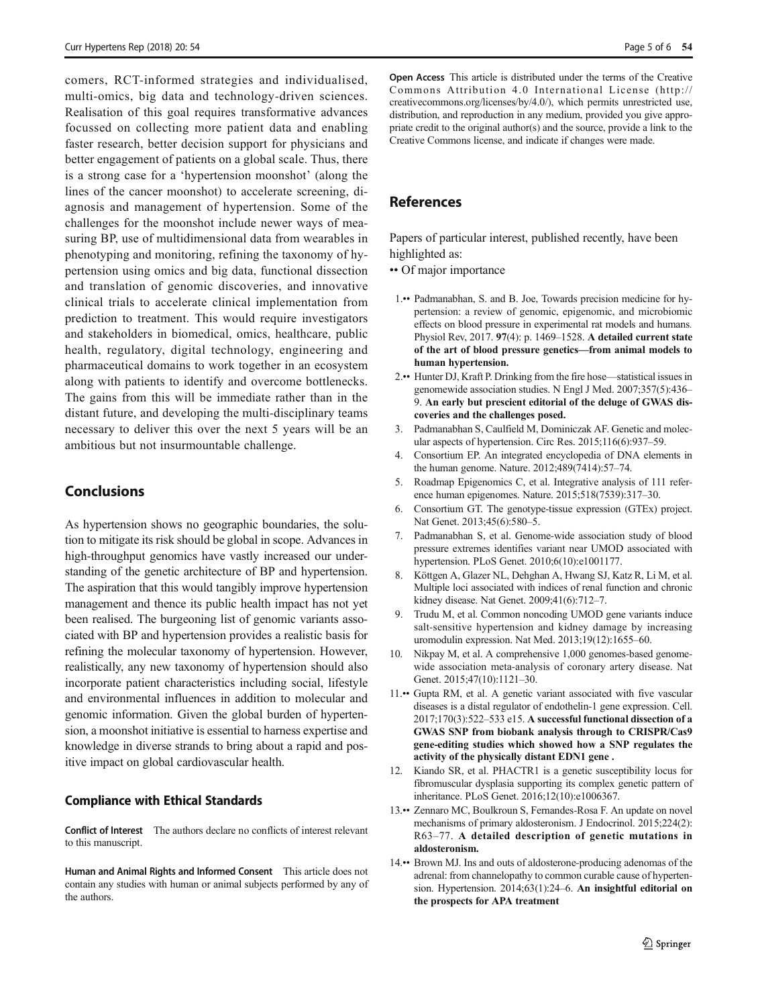<span id="page-4-0"></span>comers, RCT-informed strategies and individualised, multi-omics, big data and technology-driven sciences. Realisation of this goal requires transformative advances focussed on collecting more patient data and enabling faster research, better decision support for physicians and better engagement of patients on a global scale. Thus, there is a strong case for a 'hypertension moonshot' (along the lines of the cancer moonshot) to accelerate screening, diagnosis and management of hypertension. Some of the challenges for the moonshot include newer ways of measuring BP, use of multidimensional data from wearables in phenotyping and monitoring, refining the taxonomy of hypertension using omics and big data, functional dissection and translation of genomic discoveries, and innovative clinical trials to accelerate clinical implementation from prediction to treatment. This would require investigators and stakeholders in biomedical, omics, healthcare, public health, regulatory, digital technology, engineering and pharmaceutical domains to work together in an ecosystem along with patients to identify and overcome bottlenecks. The gains from this will be immediate rather than in the distant future, and developing the multi-disciplinary teams necessary to deliver this over the next 5 years will be an ambitious but not insurmountable challenge.

## **Conclusions**

As hypertension shows no geographic boundaries, the solution to mitigate its risk should be global in scope. Advances in high-throughput genomics have vastly increased our understanding of the genetic architecture of BP and hypertension. The aspiration that this would tangibly improve hypertension management and thence its public health impact has not yet been realised. The burgeoning list of genomic variants associated with BP and hypertension provides a realistic basis for refining the molecular taxonomy of hypertension. However, realistically, any new taxonomy of hypertension should also incorporate patient characteristics including social, lifestyle and environmental influences in addition to molecular and genomic information. Given the global burden of hypertension, a moonshot initiative is essential to harness expertise and knowledge in diverse strands to bring about a rapid and positive impact on global cardiovascular health.

#### Compliance with Ethical Standards

Conflict of Interest The authors declare no conflicts of interest relevant to this manuscript.

Human and Animal Rights and Informed Consent This article does not contain any studies with human or animal subjects performed by any of the authors.

Open Access This article is distributed under the terms of the Creative Commons Attribution 4.0 International License (http:// creativecommons.org/licenses/by/4.0/), which permits unrestricted use, distribution, and reproduction in any medium, provided you give appropriate credit to the original author(s) and the source, provide a link to the Creative Commons license, and indicate if changes were made.

## References

Papers of particular interest, published recently, have been highlighted as:

- •• Of major importance
- 1.•• Padmanabhan, S. and B. Joe, Towards precision medicine for hypertension: a review of genomic, epigenomic, and microbiomic effects on blood pressure in experimental rat models and humans. Physiol Rev, 2017. 97(4): p. 1469–1528. A detailed current state of the art of blood pressure genetics—from animal models to human hypertension.
- 2.•• Hunter DJ, Kraft P. Drinking from the fire hose—statistical issues in genomewide association studies. N Engl J Med. 2007;357(5):436– 9. An early but prescient editorial of the deluge of GWAS discoveries and the challenges posed.
- 3. Padmanabhan S, Caulfield M, Dominiczak AF. Genetic and molecular aspects of hypertension. Circ Res. 2015;116(6):937–59.
- 4. Consortium EP. An integrated encyclopedia of DNA elements in the human genome. Nature. 2012;489(7414):57–74.
- 5. Roadmap Epigenomics C, et al. Integrative analysis of 111 reference human epigenomes. Nature. 2015;518(7539):317–30.
- 6. Consortium GT. The genotype-tissue expression (GTEx) project. Nat Genet. 2013;45(6):580–5.
- 7. Padmanabhan S, et al. Genome-wide association study of blood pressure extremes identifies variant near UMOD associated with hypertension. PLoS Genet. 2010;6(10):e1001177.
- 8. Köttgen A, Glazer NL, Dehghan A, Hwang SJ, Katz R, Li M, et al. Multiple loci associated with indices of renal function and chronic kidney disease. Nat Genet. 2009;41(6):712–7.
- 9. Trudu M, et al. Common noncoding UMOD gene variants induce salt-sensitive hypertension and kidney damage by increasing uromodulin expression. Nat Med. 2013;19(12):1655–60.
- 10. Nikpay M, et al. A comprehensive 1,000 genomes-based genomewide association meta-analysis of coronary artery disease. Nat Genet. 2015;47(10):1121–30.
- 11.•• Gupta RM, et al. A genetic variant associated with five vascular diseases is a distal regulator of endothelin-1 gene expression. Cell. 2017;170(3):522–533 e15. A successful functional dissection of a GWAS SNP from biobank analysis through to CRISPR/Cas9 gene-editing studies which showed how a SNP regulates the activity of the physically distant EDN1 gene .
- 12. Kiando SR, et al. PHACTR1 is a genetic susceptibility locus for fibromuscular dysplasia supporting its complex genetic pattern of inheritance. PLoS Genet. 2016;12(10):e1006367.
- 13.•• Zennaro MC, Boulkroun S, Fernandes-Rosa F. An update on novel mechanisms of primary aldosteronism. J Endocrinol. 2015;224(2): R63–77. A detailed description of genetic mutations in aldosteronism.
- 14.•• Brown MJ. Ins and outs of aldosterone-producing adenomas of the adrenal: from channelopathy to common curable cause of hypertension. Hypertension. 2014;63(1):24–6. An insightful editorial on the prospects for APA treatment